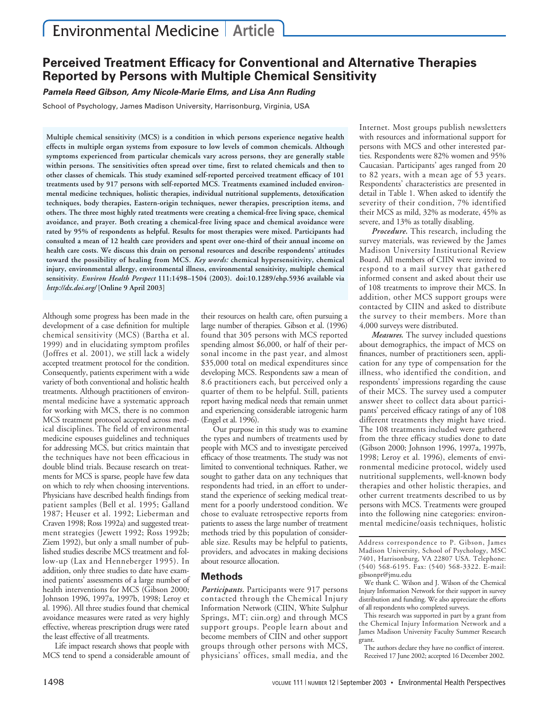# **Perceived Treatment Efficacy for Conventional and Alternative Therapies Reported by Persons with Multiple Chemical Sensitivity**

# *Pamela Reed Gibson, Amy Nicole-Marie Elms, and Lisa Ann Ruding*

School of Psychology, James Madison University, Harrisonburg, Virginia, USA

**Multiple chemical sensitivity (MCS) is a condition in which persons experience negative health effects in multiple organ systems from exposure to low levels of common chemicals. Although symptoms experienced from particular chemicals vary across persons, they are generally stable within persons. The sensitivities often spread over time, first to related chemicals and then to other classes of chemicals. This study examined self-reported perceived treatment efficacy of 101 treatments used by 917 persons with self-reported MCS. Treatments examined included environmental medicine techniques, holistic therapies, individual nutritional supplements, detoxification techniques, body therapies, Eastern-origin techniques, newer therapies, prescription items, and others. The three most highly rated treatments were creating a chemical-free living space, chemical avoidance, and prayer. Both creating a chemical-free living space and chemical avoidance were rated by 95% of respondents as helpful. Results for most therapies were mixed. Participants had consulted a mean of 12 health care providers and spent over one-third of their annual income on health care costs. We discuss this drain on personal resources and describe respondents' attitudes toward the possibility of healing from MCS.** *Key words:* **chemical hypersensitivity, chemical injury, environmental allergy, environmental illness, environmental sensitivity, multiple chemical sensitivity.** *Environ Health Perspect* **111:1498–1504 (2003). doi:10.1289/ehp.5936 available via** *http://dx.doi.org/* **[Online 9 April 2003]**

Although some progress has been made in the development of a case definition for multiple chemical sensitivity (MCS) (Bartha et al. 1999) and in elucidating symptom profiles (Joffres et al. 2001), we still lack a widely accepted treatment protocol for the condition. Consequently, patients experiment with a wide variety of both conventional and holistic health treatments. Although practitioners of environmental medicine have a systematic approach for working with MCS, there is no common MCS treatment protocol accepted across medical disciplines. The field of environmental medicine espouses guidelines and techniques for addressing MCS, but critics maintain that the techniques have not been efficacious in double blind trials. Because research on treatments for MCS is sparse, people have few data on which to rely when choosing interventions. Physicians have described health findings from patient samples (Bell et al. 1995; Galland 1987; Heuser et al. 1992; Lieberman and Craven 1998; Ross 1992a) and suggested treatment strategies (Jewett 1992; Ross 1992b; Ziem 1992), but only a small number of published studies describe MCS treatment and follow-up (Lax and Henneberger 1995). In addition, only three studies to date have examined patients' assessments of a large number of health interventions for MCS (Gibson 2000; Johnson 1996, 1997a, 1997b, 1998; Leroy et al. 1996). All three studies found that chemical avoidance measures were rated as very highly effective, whereas prescription drugs were rated the least effective of all treatments.

Life impact research shows that people with MCS tend to spend a considerable amount of

their resources on health care, often pursuing a large number of therapies. Gibson et al. (1996) found that 305 persons with MCS reported spending almost \$6,000, or half of their personal income in the past year, and almost \$35,000 total on medical expenditures since developing MCS. Respondents saw a mean of 8.6 practitioners each, but perceived only a quarter of them to be helpful. Still, patients report having medical needs that remain unmet and experiencing considerable iatrogenic harm (Engel et al. 1996).

Our purpose in this study was to examine the types and numbers of treatments used by people with MCS and to investigate perceived efficacy of those treatments. The study was not limited to conventional techniques. Rather, we sought to gather data on any techniques that respondents had tried, in an effort to understand the experience of seeking medical treatment for a poorly understood condition. We chose to evaluate retrospective reports from patients to assess the large number of treatment methods tried by this population of considerable size. Results may be helpful to patients, providers, and advocates in making decisions about resource allocation.

# **Methods**

*Participants.* Participants were 917 persons contacted through the Chemical Injury Information Network (CIIN, White Sulphur Springs, MT; ciin.org) and through MCS support groups. People learn about and become members of CIIN and other support groups through other persons with MCS, physicians' offices, small media, and the

Internet. Most groups publish newsletters with resources and informational support for persons with MCS and other interested parties. Respondents were 82% women and 95% Caucasian. Participants' ages ranged from 20 to 82 years, with a mean age of 53 years. Respondents' characteristics are presented in detail in Table 1. When asked to identify the severity of their condition, 7% identified their MCS as mild, 32% as moderate, 45% as severe, and 13% as totally disabling.

*Procedure.* This research, including the survey materials, was reviewed by the James Madison University Institutional Review Board. All members of CIIN were invited to respond to a mail survey that gathered informed consent and asked about their use of 108 treatments to improve their MCS. In addition, other MCS support groups were contacted by CIIN and asked to distribute the survey to their members. More than 4,000 surveys were distributed.

*Measures.* The survey included questions about demographics, the impact of MCS on finances, number of practitioners seen, application for any type of compensation for the illness, who identified the condition, and respondents' impressions regarding the cause of their MCS. The survey used a computer answer sheet to collect data about participants' perceived efficacy ratings of any of 108 different treatments they might have tried. The 108 treatments included were gathered from the three efficacy studies done to date (Gibson 2000; Johnson 1996, 1997a, 1997b, 1998; Leroy et al. 1996), elements of environmental medicine protocol, widely used nutritional supplements, well-known body therapies and other holistic therapies, and other current treatments described to us by persons with MCS. Treatments were grouped into the following nine categories: environmental medicine/oasis techniques, holistic

Address correspondence to P. Gibson, James Madison University, School of Psychology, MSC 7401, Harrisonburg, VA 22807 USA. Telephone: (540) 568-6195. Fax: (540) 568-3322. E-mail: gibsonpr@jmu.edu

We thank C. Wilson and J. Wilson of the Chemical Injury Information Network for their support in survey distribution and funding. We also appreciate the efforts of all respondents who completed surveys.

This research was supported in part by a grant from the Chemical Injury Information Network and a James Madison University Faculty Summer Research grant.

The authors declare they have no conflict of interest. Received 17 June 2002; accepted 16 December 2002.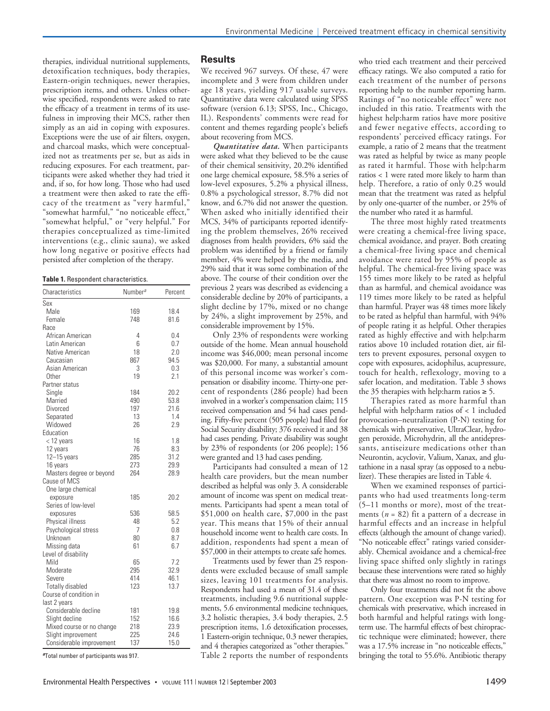therapies, individual nutritional supplements, detoxification techniques, body therapies, Eastern-origin techniques, newer therapies, prescription items, and others. Unless otherwise specified, respondents were asked to rate the efficacy of a treatment in terms of its usefulness in improving their MCS, rather then simply as an aid in coping with exposures. Exceptions were the use of air filters, oxygen, and charcoal masks, which were conceptualized not as treatments per se, but as aids in reducing exposures. For each treatment, participants were asked whether they had tried it and, if so, for how long. Those who had used a treatment were then asked to rate the efficacy of the treatment as "very harmful," "somewhat harmful," "no noticeable effect," "somewhat helpful," or "very helpful." For therapies conceptualized as time-limited interventions (e.g., clinic sauna), we asked how long negative or positive effects had persisted after completion of the therapy.

#### **Table 1.** Respondent characteristics.

| Characteristics                                   | Number <sup>a</sup> | Percent      |
|---------------------------------------------------|---------------------|--------------|
| Sex                                               |                     |              |
| Male                                              | 169                 | 18.4         |
| Female                                            | 748                 | 81.6         |
| Race                                              |                     |              |
| African American                                  | 4                   | 0.4          |
| Latin American                                    | 6                   | 0.7          |
| Native American                                   | 18                  | 2.0          |
| Caucasian                                         | 867                 | 94.5         |
| Asian American                                    | 3                   | 0.3          |
| Other                                             | 19                  | 2.1          |
| Partner status                                    |                     |              |
| Single                                            | 184                 | 20.2         |
| Married                                           | 490                 | 53.8         |
| Divorced                                          | 197                 | 21.6         |
| Separated                                         | 13                  | 1.4          |
| Widowed                                           | 26                  | 2.9          |
| Education                                         |                     |              |
| < 12 years                                        | 16                  | 1.8          |
| 12 years                                          | 76                  | 8.3          |
| 12-15 years                                       | 285                 | 31.2         |
| 16 years                                          | 273                 | 29.9         |
| Masters degree or beyond                          | 264                 | 28.9         |
| Cause of MCS                                      |                     |              |
| One large chemical                                |                     |              |
| exposure                                          | 185                 | 20.2         |
| Series of low-level                               |                     |              |
| exposures                                         | 536                 | 58.5         |
| Physical illness                                  | 48                  | 5.2          |
| Psychological stress                              | 7                   | 0.8          |
| Unknown                                           | 80                  | 8.7          |
| Missing data                                      | 61                  | 6.7          |
| Level of disability<br>Mild                       |                     |              |
|                                                   | 65                  | 7.2          |
| Moderate                                          | 295<br>414          | 32.9<br>46.1 |
| Severe                                            |                     |              |
| <b>Totally disabled</b><br>Course of condition in | 123                 | 13.7         |
|                                                   |                     |              |
| last 2 years                                      |                     |              |
| Considerable decline<br>Slight decline            | 181<br>152          | 19.8<br>16.6 |
| Mixed course or no change                         | 218                 | 23.9         |
| Slight improvement                                | 225                 | 24.6         |
| Considerable improvement                          | 137                 | 15.0         |
|                                                   |                     |              |

*<sup>a</sup>*Total number of participants was 917.

### **Results**

We received 967 surveys. Of these, 47 were incomplete and 3 were from children under age 18 years, yielding 917 usable surveys. Quantitative data were calculated using SPSS software (version 6.13; SPSS, Inc., Chicago, IL). Respondents' comments were read for content and themes regarding people's beliefs about recovering from MCS.

*Quantitative data.* When participants were asked what they believed to be the cause of their chemical sensitivity, 20.2% identified one large chemical exposure, 58.5% a series of low-level exposures, 5.2% a physical illness, 0.8% a psychological stressor, 8.7% did not know, and 6.7% did not answer the question. When asked who initially identified their MCS, 34% of participants reported identifying the problem themselves, 26% received diagnoses from health providers, 6% said the problem was identified by a friend or family member, 4% were helped by the media, and 29% said that it was some combination of the above. The course of their condition over the previous 2 years was described as evidencing a considerable decline by 20% of participants, a slight decline by 17%, mixed or no change by 24%, a slight improvement by 25%, and considerable improvement by 15%.

Only 23% of respondents were working outside of the home. Mean annual household income was \$46,000; mean personal income was \$20,000. For many, a substantial amount of this personal income was worker's compensation or disability income. Thirty-one percent of respondents (286 people) had been involved in a worker's compensation claim; 115 received compensation and 54 had cases pending. Fifty-five percent (505 people) had filed for Social Security disability; 376 received it and 38 had cases pending. Private disability was sought by 23% of respondents (or 206 people); 156 were granted and 13 had cases pending.

Participants had consulted a mean of 12 health care providers, but the mean number described as helpful was only 3. A considerable amount of income was spent on medical treatments. Participants had spent a mean total of \$51,000 on health care, \$7,000 in the past year. This means that 15% of their annual household income went to health care costs. In addition, respondents had spent a mean of \$57,000 in their attempts to create safe homes.

Treatments used by fewer than 25 respondents were excluded because of small sample sizes, leaving 101 treatments for analysis. Respondents had used a mean of 31.4 of these treatments, including 9.6 nutritional supplements, 5.6 environmental medicine techniques, 3.2 holistic therapies, 3.4 body therapies, 2.5 prescription items, 1.6 detoxification processes, 1 Eastern-origin technique, 0.3 newer therapies, and 4 therapies categorized as "other therapies." Table 2 reports the number of respondents

who tried each treatment and their perceived efficacy ratings. We also computed a ratio for each treatment of the number of persons reporting help to the number reporting harm. Ratings of "no noticeable effect" were not included in this ratio. Treatments with the highest help:harm ratios have more positive and fewer negative effects, according to respondents' perceived efficacy ratings. For example, a ratio of 2 means that the treatment was rated as helpful by twice as many people as rated it harmful. Those with help:harm ratios < 1 were rated more likely to harm than help. Therefore, a ratio of only 0.25 would mean that the treatment was rated as helpful by only one-quarter of the number, or 25% of the number who rated it as harmful.

The three most highly rated treatments were creating a chemical-free living space, chemical avoidance, and prayer. Both creating a chemical-free living space and chemical avoidance were rated by 95% of people as helpful. The chemical-free living space was 155 times more likely to be rated as helpful than as harmful, and chemical avoidance was 119 times more likely to be rated as helpful than harmful. Prayer was 48 times more likely to be rated as helpful than harmful, with 94% of people rating it as helpful. Other therapies rated as highly effective and with help:harm ratios above 10 included rotation diet, air filters to prevent exposures, personal oxygen to cope with exposures, acidophilus, acupressure, touch for health, reflexology, moving to a safer location, and meditation. Table 3 shows the 35 therapies with help: harm ratios  $\geq 5$ .

Therapies rated as more harmful than helpful with help:harm ratios of < 1 included provocation–neutralization (P-N) testing for chemicals with preservative, UltraClear, hydrogen peroxide, Microhydrin, all the antidepressants, antiseizure medications other than Neurontin, acyclovir, Valium, Xanax, and glutathione in a nasal spray (as opposed to a nebulizer). These therapies are listed in Table 4.

When we examined responses of participants who had used treatments long-term (5–11 months or more), most of the treatments ( $n = 82$ ) fit a pattern of a decrease in harmful effects and an increase in helpful effects (although the amount of change varied). "No noticeable effect" ratings varied considerably. Chemical avoidance and a chemical-free living space shifted only slightly in ratings because these interventions were rated so highly that there was almost no room to improve.

Only four treatments did not fit the above pattern. One exception was P-N testing for chemicals with preservative, which increased in both harmful and helpful ratings with longterm use. The harmful effects of best chiropractic technique were eliminated; however, there was a 17.5% increase in "no noticeable effects," bringing the total to 55.6%. Antibiotic therapy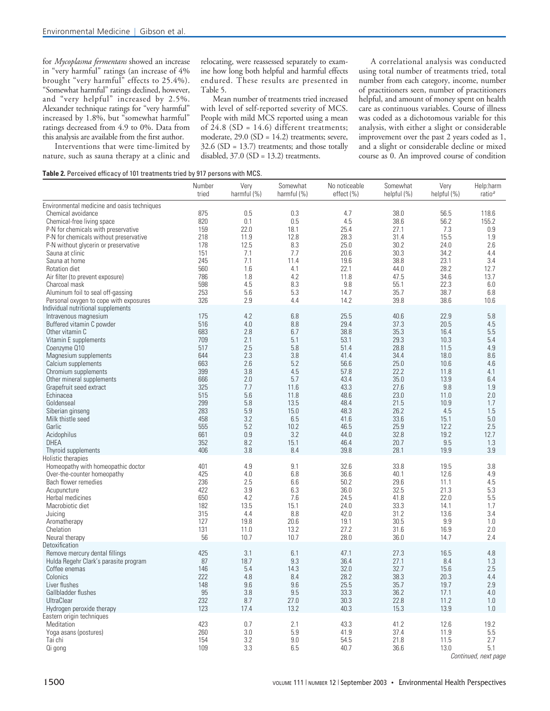for *Mycoplasma fermentans* showed an increase in "very harmful" ratings (an increase of 4% brought "very harmful" effects to 25.4%). "Somewhat harmful" ratings declined, however, and "very helpful" increased by 2.5%. Alexander technique ratings for "very harmful" increased by 1.8%, but "somewhat harmful" ratings decreased from 4.9 to 0%. Data from this analysis are available from the first author.

Interventions that were time-limited by nature, such as sauna therapy at a clinic and relocating, were reassessed separately to examine how long both helpful and harmful effects endured. These results are presented in Table 5.

Mean number of treatments tried increased with level of self-reported severity of MCS. People with mild MCS reported using a mean of  $24.8$  (SD = 14.6) different treatments; moderate, 29.0 (SD = 14.2) treatments; severe,  $32.6$  (SD = 13.7) treatments; and those totally disabled,  $37.0$  (SD = 13.2) treatments.

A correlational analysis was conducted using total number of treatments tried, total number from each category, income, number of practitioners seen, number of practitioners helpful, and amount of money spent on health care as continuous variables. Course of illness was coded as a dichotomous variable for this analysis, with either a slight or considerable improvement over the past 2 years coded as 1, and a slight or considerable decline or mixed course as 0. An improved course of condition

|  |  | Table 2. Perceived efficacy of 101 treatments tried by 917 persons with MCS. |  |  |  |  |  |
|--|--|------------------------------------------------------------------------------|--|--|--|--|--|
|--|--|------------------------------------------------------------------------------|--|--|--|--|--|

|                                                                                                                                                                                                                                                                                                                                                                                                                         | Number<br>tried                                                                                                            | Very<br>harmful (%)                                                                                                        | Somewhat<br>harmful $(\%)$                                                                                                       | No noticeable<br>effect (%)                                                                                                                  | Somewhat<br>helpful (%)                                                                                                                      | Very<br>helpful (%)                                                                                                                       | Help:harm<br>ratio <sup>a</sup>                                                                                             |
|-------------------------------------------------------------------------------------------------------------------------------------------------------------------------------------------------------------------------------------------------------------------------------------------------------------------------------------------------------------------------------------------------------------------------|----------------------------------------------------------------------------------------------------------------------------|----------------------------------------------------------------------------------------------------------------------------|----------------------------------------------------------------------------------------------------------------------------------|----------------------------------------------------------------------------------------------------------------------------------------------|----------------------------------------------------------------------------------------------------------------------------------------------|-------------------------------------------------------------------------------------------------------------------------------------------|-----------------------------------------------------------------------------------------------------------------------------|
| Environmental medicine and oasis techniques<br>Chemical avoidance<br>Chemical-free living space<br>P-N for chemicals with preservative<br>P-N for chemicals without preservative<br>P-N without glycerin or preservative<br>Sauna at clinic<br>Sauna at home<br>Rotation diet<br>Air filter (to prevent exposure)<br>Charcoal mask<br>Aluminum foil to seal off-gassing<br>Personal oxygen to cope with exposures       | 875<br>820<br>159<br>218<br>178<br>151<br>245<br>560<br>786<br>598<br>253<br>326                                           | 0.5<br>0.1<br>22.0<br>11.9<br>12.5<br>7.1<br>7.1<br>1.6<br>1.8<br>4.5<br>5.6<br>2.9                                        | 0.3<br>0.5<br>18.1<br>12.8<br>8.3<br>7.7<br>11.4<br>4.1<br>4.2<br>8.3<br>5.3<br>4.4                                              | 4.7<br>4.5<br>25.4<br>28.3<br>25.0<br>20.6<br>19.6<br>22.1<br>11.8<br>9.8<br>14.7<br>14.2                                                    | 38.0<br>38.6<br>27.1<br>31.4<br>30.2<br>30.3<br>38.8<br>44.0<br>47.5<br>55.1<br>35.7<br>39.8                                                 | 56.5<br>56.2<br>7.3<br>15.5<br>24.0<br>34.2<br>23.1<br>28.2<br>34.6<br>22.3<br>38.7<br>38.6                                               | 118.6<br>155.2<br>0.9<br>1.9<br>2.6<br>4.4<br>3.4<br>12.7<br>13.7<br>6.0<br>6.8<br>10.6                                     |
| Individual nutritional supplements<br>Intravenous magnesium<br>Buffered vitamin C powder<br>Other vitamin C<br>Vitamin E supplements<br>Coenzyme Q10<br>Magnesium supplements<br>Calcium supplements<br>Chromium supplements<br>Other mineral supplements<br>Grapefruit seed extract<br>Echinacea<br>Goldenseal<br>Siberian ginseng<br>Milk thistle seed<br>Garlic<br>Acidophilus<br><b>DHEA</b><br>Thyroid supplements | 175<br>516<br>683<br>709<br>517<br>644<br>663<br>399<br>666<br>325<br>515<br>299<br>283<br>458<br>555<br>661<br>352<br>406 | 4.2<br>4.0<br>2.8<br>2.1<br>2.5<br>2.3<br>2.6<br>3.8<br>2.0<br>7.7<br>5.6<br>5.8<br>5.9<br>3.2<br>5.2<br>0.9<br>8.2<br>3.8 | 6.8<br>8.8<br>6.7<br>5.1<br>5.8<br>3.8<br>5.2<br>4.5<br>5.7<br>11.6<br>11.8<br>13.5<br>15.0<br>6.5<br>10.2<br>3.2<br>15.1<br>8.4 | 25.5<br>29.4<br>38.8<br>53.1<br>51.4<br>41.4<br>56.6<br>57.8<br>43.4<br>43.3<br>48.6<br>48.4<br>48.3<br>41.6<br>46.5<br>44.0<br>46.4<br>39.8 | 40.6<br>37.3<br>35.3<br>29.3<br>28.8<br>34.4<br>25.0<br>22.2<br>35.0<br>27.6<br>23.0<br>21.5<br>26.2<br>33.6<br>25.9<br>32.8<br>20.7<br>28.1 | 22.9<br>20.5<br>16.4<br>10.3<br>11.5<br>18.0<br>10.6<br>11.8<br>13.9<br>9.8<br>11.0<br>10.9<br>4.5<br>15.1<br>12.2<br>19.2<br>9.5<br>19.9 | 5.8<br>4.5<br>5.5<br>5.4<br>4.9<br>8.6<br>4.6<br>4.1<br>6.4<br>1.9<br>2.0<br>1.7<br>1.5<br>5.0<br>2.5<br>12.7<br>1.3<br>3.9 |
| Holistic therapies<br>Homeopathy with homeopathic doctor<br>Over-the-counter homeopathy<br>Bach flower remedies<br>Acupuncture<br>Herbal medicines<br>Macrobiotic diet<br>Juicing<br>Aromatherapy<br>Chelation<br>Neural therapy                                                                                                                                                                                        | 401<br>425<br>236<br>422<br>650<br>182<br>315<br>127<br>131<br>56                                                          | 4.9<br>4.0<br>2.5<br>3.9<br>4.2<br>13.5<br>4.4<br>19.8<br>11.0<br>10.7                                                     | 9.1<br>6.8<br>6.6<br>6.3<br>7.6<br>15.1<br>8.8<br>20.6<br>13.2<br>10.7                                                           | 32.6<br>36.6<br>50.2<br>36.0<br>24.5<br>24.0<br>42.0<br>19.1<br>27.2<br>28.0                                                                 | 33.8<br>40.1<br>29.6<br>32.5<br>41.8<br>33.3<br>31.2<br>30.5<br>31.6<br>36.0                                                                 | 19.5<br>12.6<br>11.1<br>21.3<br>22.0<br>14.1<br>13.6<br>9.9<br>16.9<br>14.7                                                               | 3.8<br>4.9<br>4.5<br>5.3<br>5.5<br>1.7<br>3.4<br>1.0<br>2.0<br>2.4                                                          |
| Detoxification<br>Remove mercury dental fillings<br>Hulda Regehr Clark's parasite program<br>Coffee enemas<br>Colonics<br>Liver flushes<br>Gallbladder flushes<br>UltraClear<br>Hydrogen peroxide therapy                                                                                                                                                                                                               | 425<br>87<br>146<br>222<br>148<br>95<br>232<br>123                                                                         | 3.1<br>18.7<br>5.4<br>4.8<br>$9.6\,$<br>3.8<br>8.7<br>17.4                                                                 | 6.1<br>9.3<br>14.3<br>8.4<br>9.6<br>9.5<br>27.0<br>13.2                                                                          | 47.1<br>36.4<br>32.0<br>28.2<br>$25.5\,$<br>33.3<br>30.3<br>40.3                                                                             | 27.3<br>27.1<br>32.7<br>38.3<br>35.7<br>36.2<br>22.8<br>15.3                                                                                 | 16.5<br>8.4<br>15.6<br>20.3<br>19.7<br>17.1<br>11.2<br>13.9                                                                               | 4.8<br>1.3<br>2.5<br>4.4<br>2.9<br>4.0<br>1.0<br>1.0                                                                        |
| Eastern origin techniques<br>Meditation<br>Yoga asans (postures)<br>Tai chi<br>Qi gong                                                                                                                                                                                                                                                                                                                                  | 423<br>260<br>154<br>109                                                                                                   | 0.7<br>$3.0\,$<br>3.2<br>3.3                                                                                               | 2.1<br>5.9<br>9.0<br>6.5                                                                                                         | 43.3<br>41.9<br>54.5<br>40.7                                                                                                                 | 41.2<br>37.4<br>21.8<br>36.6                                                                                                                 | 12.6<br>11.9<br>11.5<br>13.0                                                                                                              | 19.2<br>$5.5\,$<br>2.7<br>5.1<br>Continued, next page                                                                       |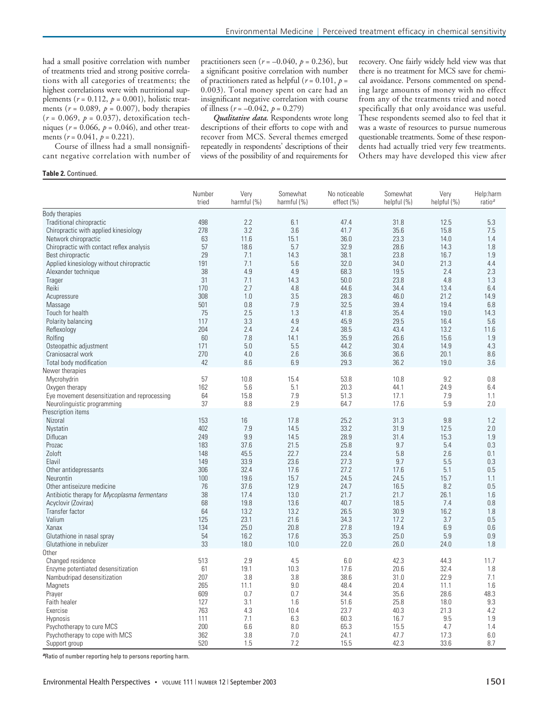had a small positive correlation with number of treatments tried and strong positive correlations with all categories of treatments; the highest correlations were with nutritional supplements (*r* = 0.112, *p* = 0.001), holistic treatments ( $r = 0.089$ ,  $p = 0.007$ ), body therapies  $(r = 0.069, p = 0.037)$ , detoxification techniques ( $r = 0.066$ ,  $p = 0.046$ ), and other treatments  $(r = 0.041, p = 0.221)$ .

Course of illness had a small nonsignificant negative correlation with number of practitioners seen ( $r = -0.040$ ,  $p = 0.236$ ), but a significant positive correlation with number of practitioners rated as helpful ( $r = 0.101$ ,  $p =$ 0.003). Total money spent on care had an insignificant negative correlation with course of illness (*r* = –0.042, *p* = 0.279)

*Qualitative data.* Respondents wrote long descriptions of their efforts to cope with and recover from MCS. Several themes emerged repeatedly in respondents' descriptions of their views of the possibility of and requirements for

recovery. One fairly widely held view was that there is no treatment for MCS save for chemical avoidance. Persons commented on spending large amounts of money with no effect from any of the treatments tried and noted specifically that only avoidance was useful. These respondents seemed also to feel that it was a waste of resources to pursue numerous questionable treatments. Some of these respondents had actually tried very few treatments. Others may have developed this view after

### **Table 2.** Continued.

|                                                                        | Number<br>tried | Very<br>harmful (%) | Somewhat<br>harmful (%) | No noticeable<br>effect (%) | Somewhat<br>helpful (%) | Very<br>helpful (%) | Help:harm<br>ratio <sup>a</sup> |
|------------------------------------------------------------------------|-----------------|---------------------|-------------------------|-----------------------------|-------------------------|---------------------|---------------------------------|
| Body therapies                                                         |                 |                     |                         |                             |                         |                     |                                 |
| Traditional chiropractic                                               | 498             | 2.2                 | 6.1                     | 47.4                        | 31.8                    | 12.5                | 5.3                             |
| Chiropractic with applied kinesiology                                  | 278             | 3.2                 | 3.6                     | 41.7                        | 35.6                    | 15.8                | 7.5                             |
| Network chiropractic                                                   | 63              | 11.6                | 15.1                    | 36.0                        | 23.3                    | 14.0                | 1.4                             |
| Chiropractic with contact reflex analysis                              | 57              | 18.6                | 5.7                     | 32.9                        | 28.6                    | 14.3                | 1.8                             |
| Best chiropractic                                                      | 29              | 7.1                 | 14.3                    | 38.1                        | 23.8                    | 16.7                | 1.9                             |
| Applied kinesiology without chiropractic                               | 191             | 7.1                 | 5.6                     | 32.0                        | 34.0                    | 21.3                | 4.4                             |
| Alexander technique                                                    | 38              | 4.9                 | 4.9                     | 68.3                        | 19.5                    | 2.4                 | 2.3                             |
| Trager                                                                 | 31              | 7.1                 | 14.3                    | 50.0                        | 23.8                    | 4.8                 | 1.3                             |
| Reiki                                                                  | 170             | 2.7                 | 4.8                     | 44.6                        | 34.4                    | 13.4                | 6.4                             |
| Acupressure                                                            | 308             | 1.0                 | 3.5                     | 28.3                        | 46.0                    | 21.2                | 14.9                            |
| Massage                                                                | 501             | 0.8                 | 7.9                     | 32.5                        | 39.4                    | 19.4                | 6.8                             |
| Touch for health                                                       | 75              | 2.5                 | 1.3                     | 41.8                        | 35.4                    | 19.0                | 14.3                            |
| Polarity balancing                                                     | 117             | 3.3                 | 4.9                     | 45.9                        | 29.5                    | 16.4                | 5.6                             |
| Reflexology                                                            | 204             | 2.4                 | 2.4                     | 38.5                        | 43.4                    | 13.2                | 11.6                            |
| Rolfing                                                                | 60              | 7.8                 | 14.1                    | 35.9                        | 26.6                    | 15.6                | 1.9                             |
| Osteopathic adjustment                                                 | 171             | 5.0                 | 5.5                     | 44.2                        | 30.4                    | 14.9                | 4.3                             |
| Craniosacral work                                                      | 270             | 4.0                 | 2.6                     | 36.6                        | 36.6                    | 20.1                | 8.6                             |
| Total body modification                                                | 42              | 8.6                 | 6.9                     | 29.3                        | 36.2                    | 19.0                | 3.6                             |
| Newer therapies                                                        |                 |                     |                         |                             |                         |                     |                                 |
| Mycrohydrin                                                            | 57              | 10.8                | 15.4                    | 53.8                        | 10.8                    | 9.2                 | 0.8                             |
| Oxygen therapy                                                         | 162             | 5.6                 | 5.1                     | 20.3                        | 44.1                    | 24.9                | 6.4                             |
| Eye movement desensitization and reprocessing                          | 64              | 15.8                | 7.9                     | 51.3                        | 17.1                    | 7.9                 | 1.1                             |
| Neurolinguistic programming                                            | 37              | 8.8                 | 2.9                     | 64.7                        | 17.6                    | 5.9                 | 2.0                             |
| Prescription items                                                     |                 |                     |                         |                             |                         |                     |                                 |
| Nizoral                                                                | 153             | 16                  | 17.8                    | 25.2                        | 31.3                    | 9.8                 | 1.2                             |
|                                                                        | 402             | 7.9                 | 14.5                    | 33.2                        | 31.9                    | 12.5                | 2.0                             |
| Nystatin                                                               |                 |                     |                         |                             |                         |                     |                                 |
| Diflucan                                                               | 249             | 9.9                 | 14.5                    | 28.9                        | 31.4                    | 15.3                | 1.9                             |
| Prozac                                                                 | 183             | 37.6                | 21.5                    | 25.8                        | 9.7                     | 5.4                 | 0.3                             |
| Zoloft                                                                 | 148             | 45.5                | 22.7                    | 23.4                        | 5.8                     | 2.6                 | 0.1                             |
| Elavil                                                                 | 149             | 33.9                | 23.6                    | 27.3                        | 9.7                     | 5.5                 | 0.3                             |
| Other antidepressants                                                  | 306             | 32.4                | 17.6                    | 27.2                        | 17.6                    | 5.1                 | 0.5                             |
| Neurontin                                                              | 100             | 19.6                | 15.7                    | 24.5                        | 24.5                    | 15.7                | 1.1                             |
| Other antiseizure medicine                                             | 76              | 37.6                | 12.9                    | 24.7                        | 16.5                    | 8.2                 | 0.5                             |
| Antibiotic therapy for Mycoplasma fermentans                           | 38              | 17.4                | 13.0                    | 21.7                        | 21.7                    | 26.1                | 1.6                             |
| Acyclovir (Zovirax)                                                    | 68              | 19.8                | 13.6                    | 40.7                        | 18.5                    | 7.4                 | 0.8                             |
| Transfer factor                                                        | 64              | 13.2                | 13.2                    | 26.5                        | 30.9                    | 16.2                | 1.8                             |
| Valium                                                                 | 125             | 23.1                | 21.6                    | 34.3                        | 17.2                    | 3.7                 | 0.5                             |
| Xanax                                                                  | 134             | 25.0                | 20.8                    | 27.8                        | 19.4                    | 6.9                 | 0.6                             |
| Glutathione in nasal spray                                             | 54              | 16.2                | 17.6                    | 35.3                        | 25.0                    | 5.9                 | 0.9                             |
| Glutathione in nebulizer                                               | 33              | 18.0                | 10.0                    | 22.0                        | 26.0                    | 24.0                | 1.8                             |
| Other                                                                  |                 |                     |                         |                             |                         |                     |                                 |
| Changed residence                                                      | 513             | 2.9                 | 4.5                     | 6.0                         | 42.3                    | 44.3                | 11.7                            |
| Enzyme potentiated desensitization                                     | 61              | 19.1                | 10.3                    | 17.6                        | 20.6                    | 32.4                | 1.8                             |
| Nambudripad desensitization                                            | 207             | 3.8                 | 3.8                     | 38.6                        | 31.0                    | 22.9                | 7.1                             |
| Magnets                                                                | 265             | 11.1                | 9.0                     | 48.4                        | 20.4                    | 11.1                | 1.6                             |
| Prayer                                                                 | 609             | 0.7                 | 0.7                     | 34.4                        | 35.6                    | 28.6                | 48.3                            |
| Faith healer                                                           | 127             | 3.1                 | 1.6                     | 51.6                        | 25.8                    | 18.0                | 9.3                             |
| Exercise                                                               | 763             | 4.3                 | 10.4                    | 23.7                        | 40.3                    | 21.3                | 4.2                             |
| Hypnosis                                                               | 111             | 7.1                 | 6.3                     | 60.3                        | 16.7                    | 9.5                 | 1.9                             |
| Psychotherapy to cure MCS                                              | 200             | 6.6                 | 8.0                     | 65.3                        | 15.5                    | 4.7                 | 1.4                             |
| Psychotherapy to cope with MCS                                         | 362             | 3.8                 | 7.0                     | 24.1                        | 47.7                    | 17.3                | 6.0                             |
| Support group                                                          | 520             | 1.5                 | 7.2                     | 15.5                        | 42.3                    | 33.6                | 8.7                             |
| <sup>a</sup> Ratio of number reporting help to persons reporting harm. |                 |                     |                         |                             |                         |                     |                                 |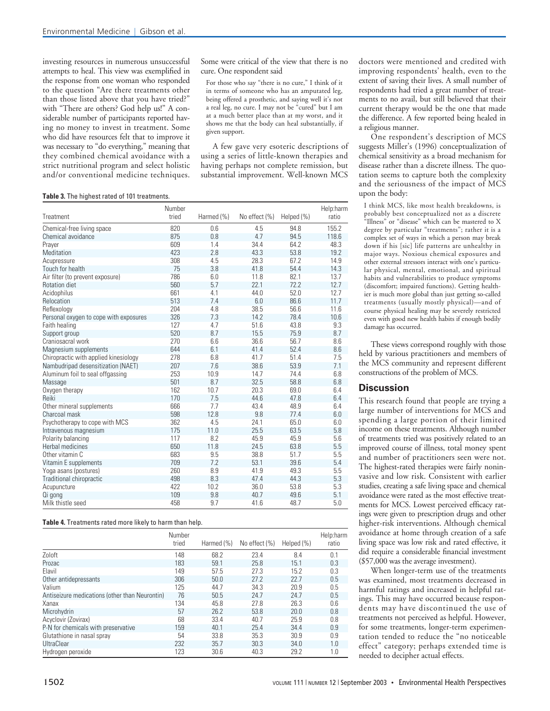investing resources in numerous unsuccessful attempts to heal. This view was exemplified in the response from one woman who responded to the question "Are there treatments other than those listed above that you have tried?" with "There are others? God help us!" A considerable number of participants reported having no money to invest in treatment. Some who did have resources felt that to improve it was necessary to "do everything," meaning that they combined chemical avoidance with a strict nutritional program and select holistic and/or conventional medicine techniques.

Some were critical of the view that there is no cure. One respondent said

For those who say "there is no cure," I think of it in terms of someone who has an amputated leg, being offered a prosthetic, and saying well it's not a real leg, no cure. I may not be "cured" but I am at a much better place than at my worst, and it shows me that the body can heal substantially, if given support.

A few gave very esoteric descriptions of using a series of little-known therapies and having perhaps not complete remission, but substantial improvement. Well-known MCS

#### **Table 3.** The highest rated of 101 treatments.

|                                        | Number |            |               |            | Help:harm |
|----------------------------------------|--------|------------|---------------|------------|-----------|
| Treatment                              | tried  | Harmed (%) | No effect (%) | Helped (%) | ratio     |
| Chemical-free living space             | 820    | 0.6        | 4.5           | 94.8       | 155.2     |
| Chemical avoidance                     | 875    | 0.8        | 4.7           | 94.5       | 118.6     |
| Prayer                                 | 609    | 1.4        | 34.4          | 64.2       | 48.3      |
| Meditation                             | 423    | 2.8        | 43.3          | 53.8       | 19.2      |
| Acupressure                            | 308    | 4.5        | 28.3          | 67.2       | 14.9      |
| Touch for health                       | 75     | 3.8        | 41.8          | 54.4       | 14.3      |
| Air filter (to prevent exposure)       | 786    | 6.0        | 11.8          | 82.1       | 13.7      |
| <b>Rotation diet</b>                   | 560    | 5.7        | 22.1          | 72.2       | 12.7      |
| Acidophilus                            | 661    | 4.1        | 44.0          | 52.0       | 12.7      |
| Relocation                             | 513    | 7.4        | 6.0           | 86.6       | 11.7      |
| Reflexology                            | 204    | 4.8        | 38.5          | 56.6       | 11.6      |
| Personal oxygen to cope with exposures | 326    | 7.3        | 14.2          | 78.4       | 10.6      |
| Faith healing                          | 127    | 4.7        | 51.6          | 43.8       | 9.3       |
| Support group                          | 520    | 8.7        | 15.5          | 75.9       | 8.7       |
| Craniosacral work                      | 270    | 6.6        | 36.6          | 56.7       | 8.6       |
| Magnesium supplements                  | 644    | 6.1        | 41.4          | 52.4       | 8.6       |
| Chiropractic with applied kinesiology  | 278    | 6.8        | 41.7          | 51.4       | 7.5       |
| Nambudripad desensitization (NAET)     | 207    | 7.6        | 38.6          | 53.9       | 7.1       |
| Aluminum foil to seal offgassing       | 253    | 10.9       | 14.7          | 74.4       | 6.8       |
| Massage                                | 501    | 8.7        | 32.5          | 58.8       | 6.8       |
| Oxygen therapy                         | 162    | 10.7       | 20.3          | 69.0       | 6.4       |
| Reiki                                  | 170    | 7.5        | 44.6          | 47.8       | 6.4       |
| Other mineral supplements              | 666    | 7.7        | 43.4          | 48.9       | 6.4       |
| Charcoal mask                          | 598    | 12.8       | 9.8           | 77.4       | 6.0       |
| Psychotherapy to cope with MCS         | 362    | 4.5        | 24.1          | 65.0       | 6.0       |
| Intravenous magnesium                  | 175    | 11.0       | 25.5          | 63.5       | 5.8       |
| Polarity balancing                     | 117    | 8.2        | 45.9          | 45.9       | 5.6       |
| Herbal medicines                       | 650    | 11.8       | 24.5          | 63.8       | 5.5       |
| Other vitamin C                        | 683    | 9.5        | 38.8          | 51.7       | 5.5       |
| Vitamin E supplements                  | 709    | 7.2        | 53.1          | 39.6       | 5.4       |
| Yoga asans (postures)                  | 260    | 8.9        | 41.9          | 49.3       | 5.5       |
| Traditional chiropractic               | 498    | 8.3        | 47.4          | 44.3       | 5.3       |
| Acupuncture                            | 422    | 10.2       | 36.0          | 53.8       | 5.3       |
| Qi gong                                | 109    | 9.8        | 40.7          | 49.6       | 5.1       |
| Milk thistle seed                      | 458    | 9.7        | 41.6          | 48.7       | 5.0       |

#### **Table 4.** Treatments rated more likely to harm than help.

|                                                | Number<br>tried | Harmed (%) | No effect $(\%)$ | Helped (%) | Help:harm<br>ratio |
|------------------------------------------------|-----------------|------------|------------------|------------|--------------------|
| Zoloft                                         | 148             | 68.2       | 23.4             | 8.4        | 0.1                |
| Prozac                                         | 183             | 59.1       | 25.8             | 15.1       | 0.3                |
| Elavil                                         | 149             | 57.5       | 27.3             | 15.2       | 0.3                |
| Other antidepressants                          | 306             | 50.0       | 27.2             | 22.7       | 0.5                |
| Valium                                         | 125             | 44.7       | 34.3             | 20.9       | 0.5                |
| Antiseizure medications (other than Neurontin) | 76              | 50.5       | 24.7             | 24.7       | 0.5                |
| Xanax                                          | 134             | 45.8       | 27.8             | 26.3       | 0.6                |
| Microhydrin                                    | 57              | 26.2       | 53.8             | 20.0       | 0.8                |
| Acyclovir (Zovirax)                            | 68              | 33.4       | 40.7             | 25.9       | 0.8                |
| P-N for chemicals with preservative            | 159             | 40.1       | 25.4             | 34.4       | 0.9                |
| Glutathione in nasal spray                     | 54              | 33.8       | 35.3             | 30.9       | 0.9                |
| <b>UltraClear</b>                              | 232             | 35.7       | 30.3             | 34.0       | 1.0                |
| Hydrogen peroxide                              | 123             | 30.6       | 40.3             | 29.2       | 1.0                |

doctors were mentioned and credited with improving respondents' health, even to the extent of saving their lives. A small number of respondents had tried a great number of treatments to no avail, but still believed that their current therapy would be the one that made the difference. A few reported being healed in a religious manner.

One respondent's description of MCS suggests Miller's (1996) conceptualization of chemical sensitivity as a broad mechanism for disease rather than a discrete illness. The quotation seems to capture both the complexity and the seriousness of the impact of MCS upon the body:

I think MCS, like most health breakdowns, is probably best conceptualized not as a discrete "Illness" or "disease" which can be mastered to X degree by particular "treatments"; rather it is a complex set of ways in which a person may break down if his [sic] life patterns are unhealthy in major ways. Noxious chemical exposures and other external stressors interact with one's particular physical, mental, emotional, and spiritual habits and vulnerabilities to produce symptoms (discomfort; impaired functions). Getting healthier is much more global than just getting so-called treatments (usually mostly physical)—and of course physical healing may be severely restricted even with good new health habits if enough bodily damage has occurred.

These views correspond roughly with those held by various practitioners and members of the MCS community and represent different constructions of the problem of MCS.

### **Discussion**

This research found that people are trying a large number of interventions for MCS and spending a large portion of their limited income on these treatments. Although number of treatments tried was positively related to an improved course of illness, total money spent and number of practitioners seen were not. The highest-rated therapies were fairly noninvasive and low risk. Consistent with earlier studies, creating a safe living space and chemical avoidance were rated as the most effective treatments for MCS. Lowest perceived efficacy ratings were given to prescription drugs and other higher-risk interventions. Although chemical avoidance at home through creation of a safe living space was low risk and rated effective, it did require a considerable financial investment (\$57,000 was the average investment).

When longer-term use of the treatments was examined, most treatments decreased in harmful ratings and increased in helpful ratings. This may have occurred because respondents may have discontinued the use of treatments not perceived as helpful. However, for some treatments, longer-term experimentation tended to reduce the "no noticeable effect" category; perhaps extended time is needed to decipher actual effects.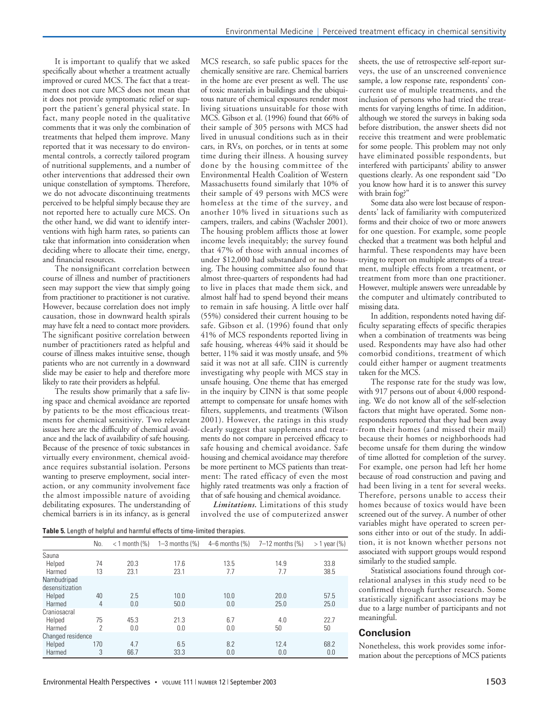It is important to qualify that we asked specifically about whether a treatment actually improved or cured MCS. The fact that a treatment does not cure MCS does not mean that it does not provide symptomatic relief or support the patient's general physical state. In fact, many people noted in the qualitative comments that it was only the combination of treatments that helped them improve. Many reported that it was necessary to do environmental controls, a correctly tailored program of nutritional supplements, and a number of other interventions that addressed their own unique constellation of symptoms. Therefore, we do not advocate discontinuing treatments perceived to be helpful simply because they are not reported here to actually cure MCS. On the other hand, we did want to identify interventions with high harm rates, so patients can take that information into consideration when deciding where to allocate their time, energy, and financial resources.

The nonsignificant correlation between course of illness and number of practitioners seen may support the view that simply going from practitioner to practitioner is not curative. However, because correlation does not imply causation, those in downward health spirals may have felt a need to contact more providers. The significant positive correlation between number of practitioners rated as helpful and course of illness makes intuitive sense, though patients who are not currently in a downward slide may be easier to help and therefore more likely to rate their providers as helpful.

The results show primarily that a safe living space and chemical avoidance are reported by patients to be the most efficacious treatments for chemical sensitivity. Two relevant issues here are the difficulty of chemical avoidance and the lack of availability of safe housing. Because of the presence of toxic substances in virtually every environment, chemical avoidance requires substantial isolation. Persons wanting to preserve employment, social interaction, or any community involvement face the almost impossible nature of avoiding debilitating exposures. The understanding of chemical barriers is in its infancy, as is general

MCS research, so safe public spaces for the chemically sensitive are rare. Chemical barriers in the home are ever present as well. The use of toxic materials in buildings and the ubiquitous nature of chemical exposures render most living situations unsuitable for those with MCS. Gibson et al. (1996) found that 66% of their sample of 305 persons with MCS had lived in unusual conditions such as in their cars, in RVs, on porches, or in tents at some time during their illness. A housing survey done by the housing committee of the Environmental Health Coalition of Western Massachusetts found similarly that 10% of their sample of 49 persons with MCS were homeless at the time of the survey, and another 10% lived in situations such as campers, trailers, and cabins (Wachsler 2001). The housing problem afflicts those at lower income levels inequitably; the survey found that 47% of those with annual incomes of under \$12,000 had substandard or no housing. The housing committee also found that almost three-quarters of respondents had had to live in places that made them sick, and almost half had to spend beyond their means to remain in safe housing. A little over half (55%) considered their current housing to be safe. Gibson et al. (1996) found that only 41% of MCS respondents reported living in safe housing, whereas 44% said it should be better, 11% said it was mostly unsafe, and 5% said it was not at all safe. CIIN is currently investigating why people with MCS stay in unsafe housing. One theme that has emerged in the inquiry by CINN is that some people attempt to compensate for unsafe homes with filters, supplements, and treatments (Wilson 2001). However, the ratings in this study clearly suggest that supplements and treatments do not compare in perceived efficacy to safe housing and chemical avoidance. Safe housing and chemical avoidance may therefore be more pertinent to MCS patients than treatment: The rated efficacy of even the most highly rated treatments was only a fraction of that of safe housing and chemical avoidance.

*Limitations.* Limitations of this study involved the use of computerized answer

sheets, the use of retrospective self-report surveys, the use of an unscreened convenience sample, a low response rate, respondents' concurrent use of multiple treatments, and the inclusion of persons who had tried the treatments for varying lengths of time. In addition, although we stored the surveys in baking soda before distribution, the answer sheets did not receive this treatment and were problematic for some people. This problem may not only have eliminated possible respondents, but interfered with participants' ability to answer questions clearly. As one respondent said "Do you know how hard it is to answer this survey with brain fog?" Some data also were lost because of respon-

dents' lack of familiarity with computerized forms and their choice of two or more answers for one question. For example, some people checked that a treatment was both helpful and harmful. These respondents may have been trying to report on multiple attempts of a treatment, multiple effects from a treatment, or treatment from more than one practitioner. However, multiple answers were unreadable by the computer and ultimately contributed to missing data.

In addition, respondents noted having difficulty separating effects of specific therapies when a combination of treatments was being used. Respondents may have also had other comorbid conditions, treatment of which could either hamper or augment treatments taken for the MCS.

The response rate for the study was low, with 917 persons out of about 4,000 responding. We do not know all of the self-selection factors that might have operated. Some nonrespondents reported that they had been away from their homes (and missed their mail) because their homes or neighborhoods had become unsafe for them during the window of time allotted for completion of the survey. For example, one person had left her home because of road construction and paving and had been living in a tent for several weeks. Therefore, persons unable to access their homes because of toxics would have been screened out of the survey. A number of other variables might have operated to screen persons either into or out of the study. In addition, it is not known whether persons not associated with support groups would respond similarly to the studied sample.

Statistical associations found through correlational analyses in this study need to be confirmed through further research. Some statistically significant associations may be due to a large number of participants and not meaningful.

## **Conclusion**

Nonetheless, this work provides some information about the perceptions of MCS patients

| <b>Table 5.</b> Length of helpful and harmful effects of time-limited therapies. |  |  |  |
|----------------------------------------------------------------------------------|--|--|--|
|                                                                                  |  |  |  |

| ັ                 |               |                    |                     |                   |                     |                   |
|-------------------|---------------|--------------------|---------------------|-------------------|---------------------|-------------------|
|                   | No.           | $<$ 1 month $(\%)$ | $1-3$ months $(\%)$ | $4-6$ months $(%$ | $7-12$ months $(%)$ | $>1$ year $(\% )$ |
| Sauna             |               |                    |                     |                   |                     |                   |
| Helped            | 74            | 20.3               | 17.6                | 13.5              | 14.9                | 33.8              |
| Harmed            | 13            | 23.1               | 23.1                | 7.7               | 7.7                 | 38.5              |
| Nambudripad       |               |                    |                     |                   |                     |                   |
| desensitization   |               |                    |                     |                   |                     |                   |
| Helped            | 40            | 2.5                | 10.0                | 10.0              | 20.0                | 57.5              |
| Harmed            | 4             | 0.0                | 50.0                | 0.0               | 25.0                | 25.0              |
| Craniosacral      |               |                    |                     |                   |                     |                   |
| Helped            | 75            | 45.3               | 21.3                | 6.7               | 4.0                 | 22.7              |
| Harmed            | $\mathcal{P}$ | 0.0                | 0.0                 | 0.0               | 50                  | 50                |
| Changed residence |               |                    |                     |                   |                     |                   |
| Helped            | 170           | 4.7                | 6.5                 | 8.2               | 12.4                | 68.2              |
| Harmed            | 3             | 66.7               | 33.3                | 0.0               | 0.0                 | 0.0               |